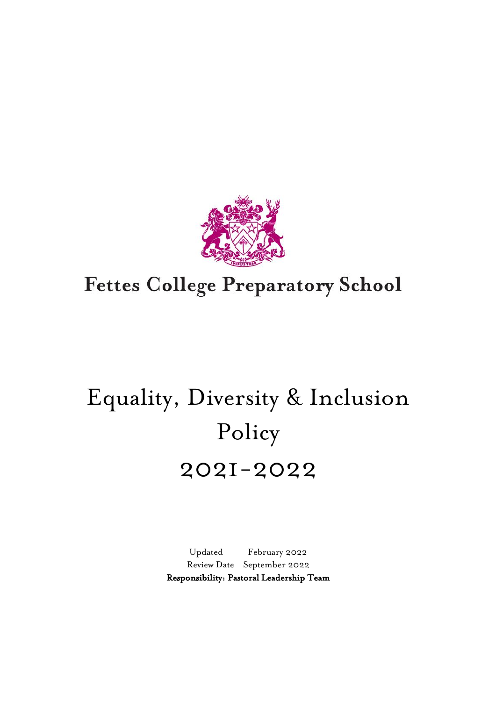

# **Fettes College Preparatory School**

# Equality, Diversity & Inclusion Policy 2021-2022

Updated February 2022 Review Date September 2022 Responsibility: Pastoral Leadership Team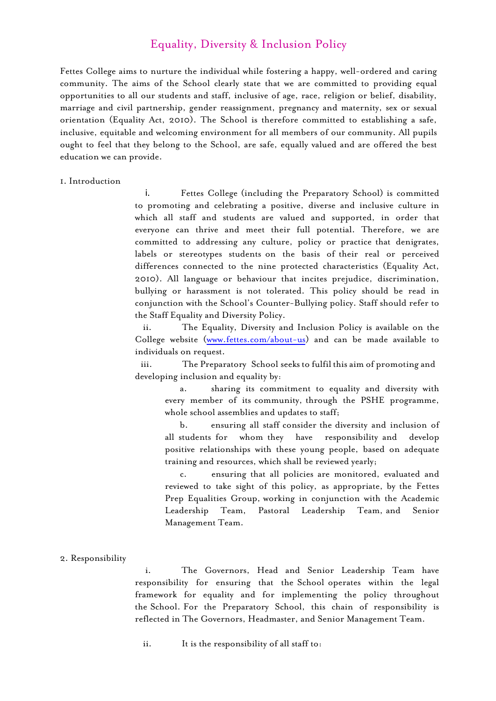# Equality, Diversity & Inclusion Policy

Fettes College aims to nurture the individual while fostering a happy, well-ordered and caring community. The aims of the School clearly state that we are committed to providing equal opportunities to all our students and staff, inclusive of age, race, religion or belief, disability, marriage and civil partnership, gender reassignment, pregnancy and maternity, sex or sexual orientation (Equality Act, 2010). The School is therefore committed to establishing a safe, inclusive, equitable and welcoming environment for all members of our community. All pupils ought to feel that they belong to the School, are safe, equally valued and are offered the best education we can provide.

#### 1. Introduction

i. Fettes College (including the Preparatory School) is committed to promoting and celebrating a positive, diverse and inclusive culture in which all staff and students are valued and supported, in order that everyone can thrive and meet their full potential. Therefore, we are committed to addressing any culture, policy or practice that denigrates, labels or stereotypes students on the basis of their real or perceived differences connected to the nine protected characteristics (Equality Act, 2010). All language or behaviour that incites prejudice, discrimination, bullying or harassment is not tolerated. This policy should be read in conjunction with the School's Counter-Bullying policy. Staff should refer to the Staff Equality and Diversity Policy.

ii. The Equality, Diversity and Inclusion Policy is available on the College website [\(www.fettes.com/about-us\)](http://www.fettes.com/about-us) and can be made available to individuals on request.

iii. The Preparatory School seeks to fulfil this aim of promoting and developing inclusion and equality by:

a. sharing its commitment to equality and diversity with every member of its community, through the PSHE programme, whole school assemblies and updates to staff;

b. ensuring all staff consider the diversity and inclusion of all students for whom they have responsibility and develop positive relationships with these young people, based on adequate training and resources, which shall be reviewed yearly;

c. ensuring that all policies are monitored, evaluated and reviewed to take sight of this policy, as appropriate, by the Fettes Prep Equalities Group, working in conjunction with the Academic Leadership Team, Pastoral Leadership Team, and Senior Management Team.

#### 2. Responsibility

i. The Governors, Head and Senior Leadership Team have responsibility for ensuring that the School operates within the legal framework for equality and for implementing the policy throughout the School. For the Preparatory School, this chain of responsibility is reflected in The Governors, Headmaster, and Senior Management Team.

ii. It is the responsibility of all staff to: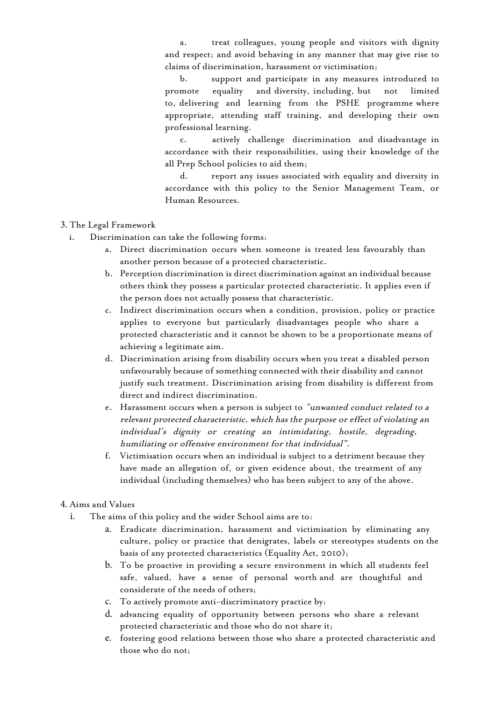a. treat colleagues, young people and visitors with dignity and respect; and avoid behaving in any manner that may give rise to claims of discrimination, harassment or victimisation;

b. support and participate in any measures introduced to promote equality and diversity, including, but not limited to, delivering and learning from the PSHE programme where appropriate, attending staff training, and developing their own professional learning.

c. actively challenge discrimination and disadvantage in accordance with their responsibilities, using their knowledge of the all Prep School policies to aid them;

d. report any issues associated with equality and diversity in accordance with this policy to the Senior Management Team, or Human Resources.

- 3. The Legal Framework
	- i. Discrimination can take the following forms:
		- a. Direct discrimination occurs when someone is treated less favourably than another person because of a protected characteristic.
		- b. Perception discrimination is direct discrimination against an individual because others think they possess a particular protected characteristic. It applies even if the person does not actually possess that characteristic.
		- c. Indirect discrimination occurs when a condition, provision, policy or practice applies to everyone but particularly disadvantages people who share a protected characteristic and it cannot be shown to be a proportionate means of achieving a legitimate aim.
		- d. Discrimination arising from disability occurs when you treat a disabled person unfavourably because of something connected with their disability and cannot justify such treatment. Discrimination arising from disability is different from direct and indirect discrimination.
		- e. Harassment occurs when a person is subject to "unwanted conduct related to a relevant protected characteristic, which has the purpose or effect of violating an individual's dignity or creating an intimidating, hostile, degrading, humiliating or offensive environment for that individual".
		- f. Victimisation occurs when an individual is subject to a detriment because they have made an allegation of, or given evidence about, the treatment of any individual (including themselves) who has been subject to any of the above.

#### 4. Aims and Values

- i. The aims of this policy and the wider School aims are to:
	- a. Eradicate discrimination, harassment and victimisation by eliminating any culture, policy or practice that denigrates, labels or stereotypes students on the basis of any protected characteristics (Equality Act, 2010);
	- b. To be proactive in providing a secure environment in which all students feel safe, valued, have a sense of personal worth and are thoughtful and considerate of the needs of others;
	- c. To actively promote anti-discriminatory practice by:
	- d. advancing equality of opportunity between persons who share a relevant protected characteristic and those who do not share it;
	- e. fostering good relations between those who share a protected characteristic and those who do not;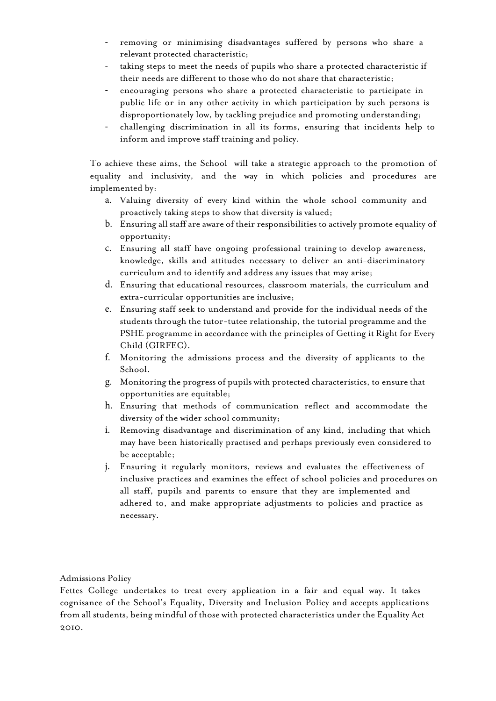- removing or minimising disadvantages suffered by persons who share a relevant protected characteristic;
- taking steps to meet the needs of pupils who share a protected characteristic if their needs are different to those who do not share that characteristic;
- encouraging persons who share a protected characteristic to participate in public life or in any other activity in which participation by such persons is disproportionately low, by tackling prejudice and promoting understanding;
- challenging discrimination in all its forms, ensuring that incidents help to inform and improve staff training and policy.

To achieve these aims, the School will take a strategic approach to the promotion of equality and inclusivity, and the way in which policies and procedures are implemented by:

- a. Valuing diversity of every kind within the whole school community and proactively taking steps to show that diversity is valued;
- b. Ensuring all staff are aware of their responsibilities to actively promote equality of opportunity;
- c. Ensuring all staff have ongoing professional training to develop awareness, knowledge, skills and attitudes necessary to deliver an anti-discriminatory curriculum and to identify and address any issues that may arise;
- d. Ensuring that educational resources, classroom materials, the curriculum and extra-curricular opportunities are inclusive;
- e. Ensuring staff seek to understand and provide for the individual needs of the students through the tutor-tutee relationship, the tutorial programme and the PSHE programme in accordance with the principles of Getting it Right for Every Child (GIRFEC).
- f. Monitoring the admissions process and the diversity of applicants to the School.
- g. Monitoring the progress of pupils with protected characteristics, to ensure that opportunities are equitable;
- h. Ensuring that methods of communication reflect and accommodate the diversity of the wider school community;
- i. Removing disadvantage and discrimination of any kind, including that which may have been historically practised and perhaps previously even considered to be acceptable;
- j. Ensuring it regularly monitors, reviews and evaluates the effectiveness of inclusive practices and examines the effect of school policies and procedures on all staff, pupils and parents to ensure that they are implemented and adhered to, and make appropriate adjustments to policies and practice as necessary.

## Admissions Policy

Fettes College undertakes to treat every application in a fair and equal way. It takes cognisance of the School's Equality, Diversity and Inclusion Policy and accepts applications from all students, being mindful of those with protected characteristics under the Equality Act 2010.